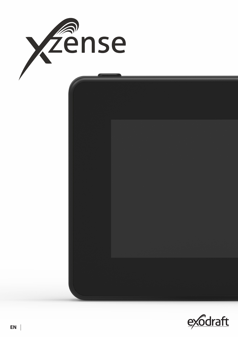

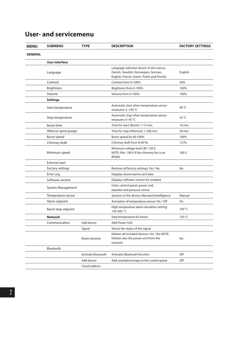|  | <b>User- and servicemenu</b> |  |
|--|------------------------------|--|
|  |                              |  |

| <b>MENU</b>    | <b>SUBMENU</b>                        | <b>TYPE</b>        | <b>DESCRIPTION</b>                                                                                                          | <b>FACTORY SETTINGS</b> |
|----------------|---------------------------------------|--------------------|-----------------------------------------------------------------------------------------------------------------------------|-------------------------|
| <b>GENERAL</b> |                                       |                    |                                                                                                                             |                         |
|                | <b>User interface</b>                 |                    |                                                                                                                             |                         |
|                | Language                              |                    | Language selection shown in the menus:<br>Danish, Swedish, Norwegian, German,<br>English, French, Dutch, Polish and Finnish | English                 |
|                | Contrast<br><b>Brightness</b>         |                    | Contrast from 0-100%                                                                                                        | 50%                     |
|                |                                       |                    | Brightness from 0-100%                                                                                                      | 100%                    |
|                | Volume                                |                    | Volume from 0-100%                                                                                                          | 100%                    |
|                | <b>Settings</b>                       |                    |                                                                                                                             |                         |
|                | Start temperature                     |                    | Automatic start when temperature sensor<br>measures: 5-100 °C                                                               | 40 °C                   |
|                | Stop temperature                      |                    | Automatic stop when temperature sensor<br>measures: 0-95 °C                                                                 | 35 °C                   |
|                | Boost time                            |                    | Time for start (Boost): 1-15 min.                                                                                           | 10 min.                 |
|                | Afterrun (post-purge)                 |                    | Time for stop (Afterrun): 1-200 min                                                                                         | 30 min.                 |
|                | Boost speed                           |                    | Boost speed fra 40-100%                                                                                                     | 100%                    |
|                | Chimney draft                         |                    | Chimney draft from 8-60 Pa                                                                                                  | 12 Pa                   |
|                | Minimum speed                         |                    | Minimum voltage level: 80 -120 V.<br>NOTE: Min. 100 V if the chimney fan is an<br>RS009.                                    | 100V                    |
|                | External start                        |                    |                                                                                                                             |                         |
|                | Factory settings                      |                    | Restores all factory settings: Yes / No                                                                                     | No                      |
|                | Error Log                             |                    | Displays recent alarms and date                                                                                             |                         |
|                | Software version                      |                    | Displays software version for enabled                                                                                       |                         |
|                | System Management                     |                    | Units: control panel, power unit,<br>repeater and pressure sensor                                                           |                         |
|                | Temperature sensor                    |                    | Systems in the device: Manual/eXotelligence                                                                                 | Manual                  |
|                | Alarm setpoint<br>Boost stop setpoint |                    | Activation of temperature sensor: On / Off                                                                                  | On                      |
|                |                                       |                    | High temperature alarm deviation setting:<br>150-400 °C                                                                     | 330 °C                  |
|                | <b>Network</b>                        |                    | Stop temperature for boost                                                                                                  | 150 °C                  |
|                | Communication                         | Add device         | Add Power Unit                                                                                                              |                         |
|                |                                       | Signal             | Shows the status of the signal                                                                                              |                         |
|                |                                       | Reset network      | Deletes all included devices: Yes / No NOTE:<br>Deletes also the power unit from the<br>network                             | No                      |
|                | Bluetooth                             |                    |                                                                                                                             |                         |
|                |                                       | Activate bluetooth | <b>Activates Bluetooth function</b>                                                                                         | Off                     |
|                |                                       | Add device         | Add smartphone/app to the control panel                                                                                     | Off                     |
|                |                                       | Cloud address      |                                                                                                                             |                         |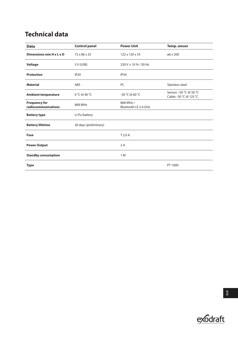# **Technical data**

| <b>Data</b>                                 | <b>Control panel</b>  | <b>Power Unit</b>                 | <b>Temp.</b> sensor                                  |
|---------------------------------------------|-----------------------|-----------------------------------|------------------------------------------------------|
| Dimensions mm H x L x D                     | 72 x 86 x 25          | 122 x 120 x 55                    | ø6 x 200                                             |
| Voltage                                     | 5 V (USB)             | 230 V ± 10 % / 50 Hz              |                                                      |
| <b>Protection</b>                           | IP <sub>20</sub>      | <b>IP54</b>                       |                                                      |
| <b>Material</b>                             | ABS                   | PC                                | Stainless steel                                      |
| <b>Ambient temperature</b>                  | 0 °C til 40 °C        | -30 °C til 60 °C                  | Sensor: -50 °C til 50 °C<br>Cable: -50 °C til 125 °C |
| <b>Frequency for</b><br>radiocommunications | 868 MHz               | 868 MHz /<br>Bluetooth LE 2.4 GHz |                                                      |
| <b>Battery type</b>                         | Li-Po battery         |                                   |                                                      |
| <b>Battery lifetime</b>                     | 30 days (preliminary) |                                   |                                                      |
| <b>Fuse</b>                                 |                       | T 2,0 A                           |                                                      |
| <b>Power Output</b>                         |                       | 2A                                |                                                      |
| <b>Standby consumption</b>                  |                       | 1 W                               |                                                      |
| <b>Type</b>                                 |                       |                                   | PT 1000                                              |